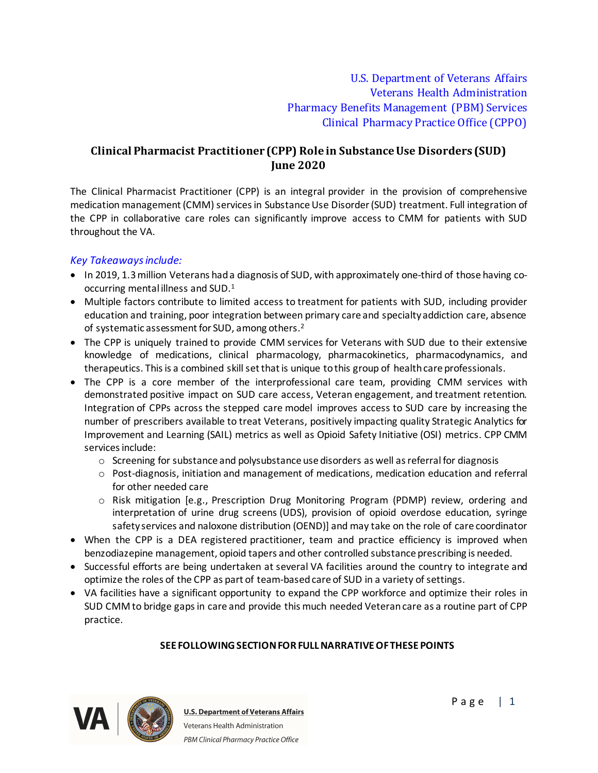U.S. Department of Veterans Affairs Veterans Health Administration Pharmacy Benefits Management (PBM) Services Clinical Pharmacy Practice Office (CPPO)

# **Clinical Pharmacist Practitioner (CPP) Role in Substance Use Disorders (SUD) June 2020**

The Clinical Pharmacist Practitioner (CPP) is an integral provider in the provision of comprehensive medication management (CMM) services in Substance Use Disorder (SUD) treatment. Full integration of the CPP in collaborative care roles can significantly improve access to CMM for patients with SUD throughout the VA.

# *Key Takeaways include:*

- In 2019, 1.3 million Veterans had a diagnosis of SUD, with approximately one-third of those having cooccurring mental illness and SUD. 1
- · Multiple factors contribute to limited access to treatment for patients with SUD, including provider education and training, poor integration between primary care and specialty addiction care, absence of systematic assessment for SUD, among others. 2
- · The CPP is uniquely trained to provide CMM services for Veterans with SUD due to their extensive knowledge of medications, clinical pharmacology, pharmacokinetics, pharmacodynamics, and therapeutics. This is a combined skill set that is unique to this group of health care professionals.
- · The CPP is a core member of the interprofessional care team, providing CMM services with demonstrated positive impact on SUD care access, Veteran engagement, and treatment retention. Integration of CPPs across the stepped care model improves access to SUD care by increasing the number of prescribers available to treat Veterans, positively impacting quality Strategic Analytics for Improvement and Learning (SAIL) metrics as well as Opioid Safety Initiative (OSI) metrics. CPP CMM services include:
	- $\circ$  Screening for substance and polysubstance use disorders as well as referral for diagnosis
	- o Post-diagnosis, initiation and management of medications, medication education and referral for other needed care
	- o Risk mitigation [e.g., Prescription Drug Monitoring Program (PDMP) review, ordering and interpretation of urine drug screens (UDS), provision of opioid overdose education, syringe safety services and naloxone distribution (OEND)] and may take on the role of care coordinator
- · When the CPP is a DEA registered practitioner, team and practice efficiency is improved when benzodiazepine management, opioid tapers and other controlled substance prescribing is needed.
- · Successful efforts are being undertaken at several VA facilities around the country to integrate and optimize the roles of the CPP as part of team-basedcare of SUD in a variety of settings.
- · VA facilities have a significant opportunity to expand the CPP workforce and optimize their roles in SUD CMM to bridge gaps in care and provide this much needed Veteran care as a routine part of CPP practice.

## **SEE FOLLOWING SECTION FOR FULL NARRATIVE OF THESE POINTS**

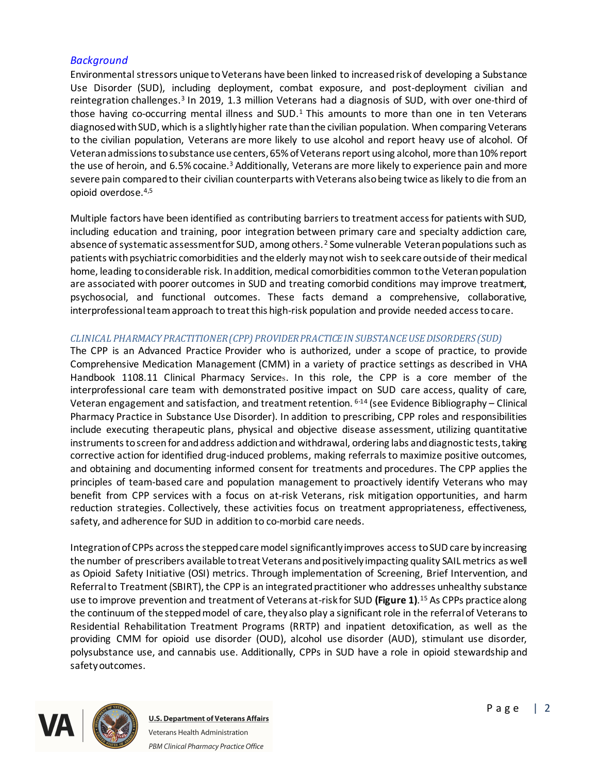# *Background*

Environmental stressors unique to Veterans have been linked to increased risk of developing a Substance Use Disorder (SUD), including deployment, combat exposure, and post-deployment civilian and reintegration challenges.<sup>3</sup> In 2019, 1.3 million Veterans had a diagnosis of SUD, with over one-third of those having co-occurring mental illness and SUD.<sup>1</sup> This amounts to more than one in ten Veterans diagnosed with SUD, which is a slightly higher rate than the civilian population. When comparing Veterans to the civilian population, Veterans are more likely to use alcohol and report heavy use of alcohol. Of Veteran admissions to substance use centers, 65% of Veterans report using alcohol, more than 10% report the use of heroin, and 6.5% cocaine.<sup>3</sup> Additionally, Veterans are more likely to experience pain and more severe pain compared to their civilian counterparts with Veterans also being twice as likely to die from an opioid overdose.4,5

Multiple factors have been identified as contributing barriers to treatment access for patients with SUD, including education and training, poor integration between primary care and specialty addiction care, absence of systematic assessment for SUD, among others.<sup>2</sup> Some vulnerable Veteran populations such as patients with psychiatric comorbidities and the elderly may not wish to seek care outside of their medical home, leading to considerable risk. In addition, medical comorbidities common to the Veteran population are associated with poorer outcomes in SUD and treating comorbid conditions may improve treatment, psychosocial, and functional outcomes. These facts demand a comprehensive, collaborative, interprofessionalteamapproach to treat this high-risk population and provide needed access to care.

## *CLINICAL PHARMACY PRACTITIONER(CPP) PROVIDER PRACTICE IN SUBSTANCE USE DISORDERS (SUD)*

The CPP is an Advanced Practice Provider who is authorized, under a scope of practice, to provide Comprehensive Medication Management (CMM) in a variety of practice settings as described in VHA Handbook 1108.11 Clinical Pharmacy Services. In this role, the CPP is a core member of the interprofessional care team with demonstrated positive impact on SUD care access, quality of care, Veteran engagement and satisfaction, and treatment retention. 6-14 (see Evidence Bibliography – Clinical Pharmacy Practice in Substance Use Disorder). In addition to prescribing, CPP roles and responsibilities include executing therapeutic plans, physical and objective disease assessment, utilizing quantitative instruments to screen for and address addictionand withdrawal, ordering labs and diagnostic tests, taking corrective action for identified drug-induced problems, making referralsto maximize positive outcomes, and obtaining and documenting informed consent for treatments and procedures. The CPP applies the principles of team-based care and population management to proactively identify Veterans who may benefit from CPP services with a focus on at-risk Veterans, risk mitigation opportunities, and harm reduction strategies. Collectively, these activities focus on treatment appropriateness, effectiveness, safety, and adherence for SUD in addition to co-morbid care needs.

Integration of CPPs across the stepped care model significantly improves access to SUD care by increasing the number of prescribers available to treat Veterans and positively impacting quality SAIL metrics as well as Opioid Safety Initiative (OSI) metrics. Through implementation of Screening, Brief Intervention, and Referral to Treatment (SBIRT), the CPP is an integrated practitioner who addresses unhealthy substance use to improve prevention and treatment of Veterans at-risk for SUD **(Figure 1)**. <sup>15</sup> As CPPs practice along the continuum of the stepped model of care, they also play a significant role in the referral of Veterans to Residential Rehabilitation Treatment Programs (RRTP) and inpatient detoxification, as well as the providing CMM for opioid use disorder (OUD), alcohol use disorder (AUD), stimulant use disorder, polysubstance use, and cannabis use. Additionally, CPPs in SUD have a role in opioid stewardship and safety outcomes.

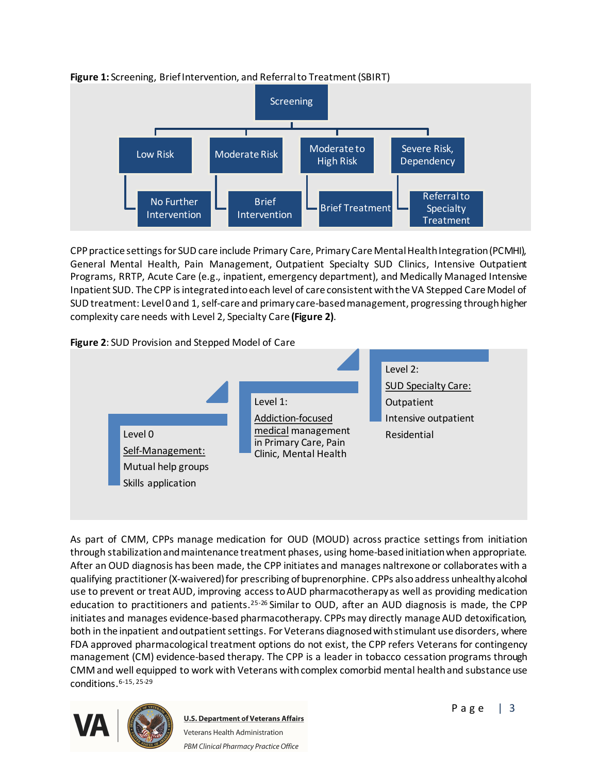

## **Figure 1:** Screening, Brief Intervention, and Referral to Treatment (SBIRT)

CPP practice settings for SUD care include Primary Care, Primary Care Mental Health Integration (PCMHI), General Mental Health, Pain Management, Outpatient Specialty SUD Clinics, Intensive Outpatient Programs, RRTP, Acute Care (e.g., inpatient, emergency department), and Medically Managed Intensive Inpatient SUD. The CPP is integrated into each level of care consistent with the VA Stepped Care Model of SUD treatment: Level 0 and 1, self-care and primary care-based management, progressing through higher complexity care needs with Level 2, Specialty Care **(Figure 2)**.

## **Figure 2**: SUD Provision and Stepped Model of Care



As part of CMM, CPPs manage medication for OUD (MOUD) across practice settings from initiation through stabilization and maintenance treatment phases, using home-basedinitiation when appropriate. After an OUD diagnosis has been made, the CPP initiates and manages naltrexone or collaborates with a qualifying practitioner (X-waivered) for prescribing of buprenorphine. CPPs also address unhealthy alcohol use to prevent or treat AUD, improving access to AUD pharmacotherapy as well as providing medication education to practitioners and patients.<sup>25-26</sup> Similar to OUD, after an AUD diagnosis is made, the CPP initiates and manages evidence-based pharmacotherapy. CPPs may directly manage AUD detoxification, both in the inpatient and outpatient settings. For Veterans diagnosed with stimulant use disorders, where FDA approved pharmacological treatment options do not exist, the CPP refers Veterans for contingency management (CM) evidence-based therapy. The CPP is a leader in tobacco cessation programs through CMM and well equipped to work with Veterans with complex comorbid mental health and substance use conditions.6-15, 25-29

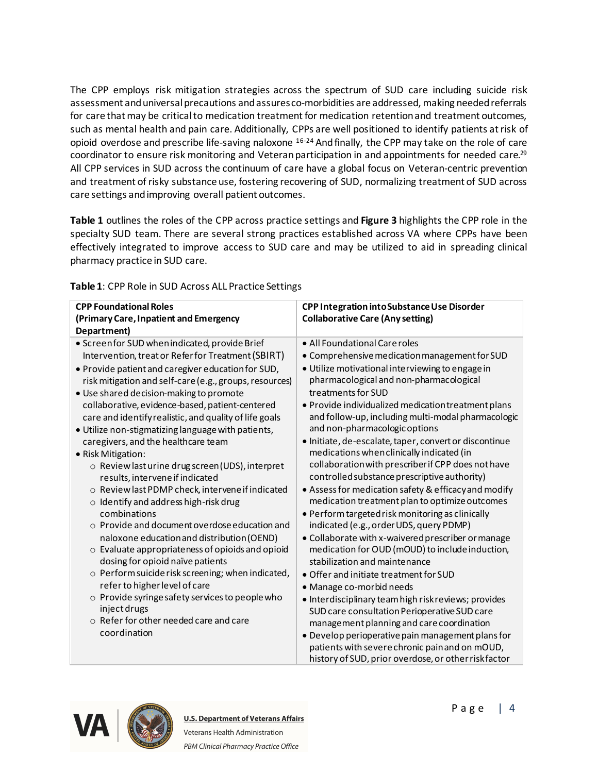The CPP employs risk mitigation strategies across the spectrum of SUD care including suicide risk assessment and universal precautions and assures co-morbidities are addressed, making needed referrals for care that may be critical to medication treatment for medication retention and treatment outcomes, such as mental health and pain care. Additionally, CPPs are well positioned to identify patients at risk of opioid overdose and prescribe life-saving naloxone  $16-24$  And finally, the CPP may take on the role of care coordinator to ensure risk monitoring and Veteran participation in and appointments for needed care.<sup>29</sup> All CPP services in SUD across the continuum of care have a global focus on Veteran-centric prevention and treatment of risky substance use, fostering recovering of SUD, normalizing treatment of SUD across care settings and improving overall patient outcomes.

**Table 1** outlines the roles of the CPP across practice settings and **Figure 3** highlights the CPP role in the specialty SUD team. There are several strong practices established across VA where CPPs have been effectively integrated to improve access to SUD care and may be utilized to aid in spreading clinical pharmacy practice in SUD care.

| <b>CPP Foundational Roles</b><br>(Primary Care, Inpatient and Emergency<br>Department)                                                                                                                                                                                                                                                                                                                                                                                                                                                                                                                                                                                                                                                                                                                                                                                                                                                                                                                                                                                                                                          | CPP Integration into Substance Use Disorder<br><b>Collaborative Care (Any setting)</b>                                                                                                                                                                                                                                                                                                                                                                                                                                                                                                                                                                                                                                                                                                                                                                                                                                                                                                                                                                                                                                                                                                                                                             |
|---------------------------------------------------------------------------------------------------------------------------------------------------------------------------------------------------------------------------------------------------------------------------------------------------------------------------------------------------------------------------------------------------------------------------------------------------------------------------------------------------------------------------------------------------------------------------------------------------------------------------------------------------------------------------------------------------------------------------------------------------------------------------------------------------------------------------------------------------------------------------------------------------------------------------------------------------------------------------------------------------------------------------------------------------------------------------------------------------------------------------------|----------------------------------------------------------------------------------------------------------------------------------------------------------------------------------------------------------------------------------------------------------------------------------------------------------------------------------------------------------------------------------------------------------------------------------------------------------------------------------------------------------------------------------------------------------------------------------------------------------------------------------------------------------------------------------------------------------------------------------------------------------------------------------------------------------------------------------------------------------------------------------------------------------------------------------------------------------------------------------------------------------------------------------------------------------------------------------------------------------------------------------------------------------------------------------------------------------------------------------------------------|
| · Screenfor SUD when indicated, provide Brief<br>Intervention, treat or Refer for Treatment (SBIRT)<br>. Provide patient and caregiver education for SUD,<br>risk mitigation and self-care (e.g., groups, resources)<br>• Use shared decision-making to promote<br>collaborative, evidence-based, patient-centered<br>care and identify realistic, and quality of life goals<br>· Utilize non-stigmatizing language with patients,<br>caregivers, and the healthcare team<br>· Risk Mitigation:<br>○ Review last urine drug screen (UDS), interpret<br>results, intervene if indicated<br>o Review last PDMP check, intervene if indicated<br>$\circ$ Identify and address high-risk drug<br>combinations<br>$\circ$ Provide and document overdose education and<br>naloxone education and distribution (OEND)<br>$\circ$ Evaluate appropriateness of opioids and opioid<br>dosing for opioid naïve patients<br>o Perform suicide risk screening; when indicated,<br>refer to higher level of care<br>o Provide syringe safety services to people who<br>inject drugs<br>○ Refer for other needed care and care<br>coordination | • All Foundational Care roles<br>· Comprehensive medication management for SUD<br>· Utilize motivational interviewing to engage in<br>pharmacological and non-pharmacological<br>treatments for SUD<br>· Provide individualized medication treatment plans<br>and follow-up, including multi-modal pharmacologic<br>and non-pharmacologic options<br>· Initiate, de-escalate, taper, convert or discontinue<br>medications when clinically indicated (in<br>collaboration with prescriber if CPP does not have<br>controlled substance prescriptive authority)<br>• Assess for medication safety & efficacy and modify<br>medication treatment plan to optimize outcomes<br>· Perform targeted risk monitoring as clinically<br>indicated (e.g., order UDS, query PDMP)<br>• Collaborate with x-waivered prescriber or manage<br>medication for OUD (mOUD) to include induction,<br>stabilization and maintenance<br>• Offer and initiate treatment for SUD<br>· Manage co-morbid needs<br>· Interdisciplinary team high riskreviews; provides<br>SUD care consultation Perioperative SUD care<br>management planning and care coordination<br>· Develop perioperative pain management plans for<br>patients with severe chronic pain and on mOUD, |

**Table 1**: CPP Role in SUD Across ALL Practice Settings



# **U.S. Department of Veterans Affairs**

Veterans Health Administration PBM Clinical Pharmacy Practice Office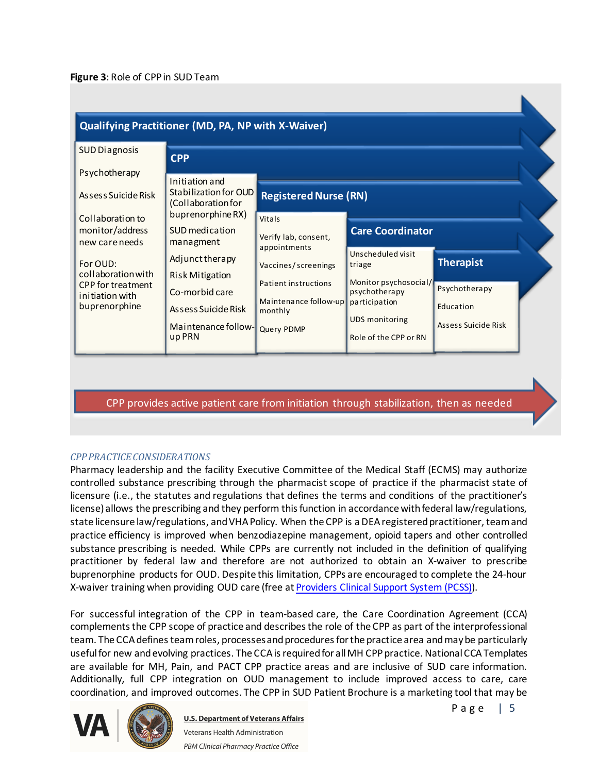| <b>SUD Diagnosis</b>                                                                                             | <b>CPP</b>                                                                                                                                                                                                                               |                                                                                                                                              |                                                                                                                                          |                                                                       |  |
|------------------------------------------------------------------------------------------------------------------|------------------------------------------------------------------------------------------------------------------------------------------------------------------------------------------------------------------------------------------|----------------------------------------------------------------------------------------------------------------------------------------------|------------------------------------------------------------------------------------------------------------------------------------------|-----------------------------------------------------------------------|--|
| Psychotherapy<br>Assess Suicide Risk<br>Collaboration to<br>monitor/address                                      | Initiation and<br>Stabilization for OUD<br>(Collaboration for<br>buprenorphine RX)<br>SUD medication<br>managment<br>Adjunct therapy<br><b>Risk Mitigation</b><br>Co-morbid care<br>Assess Suicide Risk<br>Maintenance follow-<br>up PRN | <b>Registered Nurse (RN)</b><br>Vitals<br><b>Care Coordinator</b>                                                                            |                                                                                                                                          |                                                                       |  |
| new care needs<br>For OUD:<br>collaboration with<br><b>CPP</b> for treatment<br>initiation with<br>buprenorphine |                                                                                                                                                                                                                                          | Verify lab, consent,<br>appointments<br>Vaccines/screenings<br><b>Patient instructions</b><br>Maintenance follow-up<br>monthly<br>Query PDMP | Unscheduled visit<br>triage<br>Monitor psychosocial/<br>psychotherapy<br>participation<br><b>UDS</b> monitoring<br>Role of the CPP or RN | <b>Therapist</b><br>Psychotherapy<br>Education<br>Assess Suicide Risk |  |

CPP provides active patient care from initiation through stabilization, then as needed

# *CPPPRACTICE CONSIDERATIONS*

Pharmacy leadership and the facility Executive Committee of the Medical Staff (ECMS) may authorize controlled substance prescribing through the pharmacist scope of practice if the pharmacist state of licensure (i.e., the statutes and regulations that defines the terms and conditions of the practitioner's license) allows the prescribing and they perform this function in accordance with federal law/regulations, state licensure law/regulations, and VHA Policy. When the CPP is a DEA registered practitioner, team and practice efficiency is improved when benzodiazepine management, opioid tapers and other controlled substance prescribing is needed. While CPPs are currently not included in the definition of qualifying practitioner by federal law and therefore are not authorized to obtain an X-waiver to prescribe buprenorphine products for OUD. Despite this limitation, CPPs are encouraged to complete the 24-hour X-waiver training when providing OUD care (free at [Providers Clinical Support System \(PCSS\)](https://pcssnow.org/)).

For successful integration of the CPP in team-based care, the Care Coordination Agreement (CCA) complements the CPP scope of practice and describesthe role of the CPP as part of the interprofessional team. The CCA defines team roles, processes and procedures for the practice area and may be particularly useful for new and evolving practices. The CCA is required for all MH CPPpractice. National CCA Templates are available for MH, Pain, and PACT CPP practice areas and are inclusive of SUD care information. Additionally, full CPP integration on OUD management to include improved access to care, care coordination, and improved outcomes. The CPP in SUD Patient Brochure is a marketing tool that may be



**U.S. Department of Veterans Affairs** Veterans Health Administration PBM Clinical Pharmacy Practice Office

P a g e | 5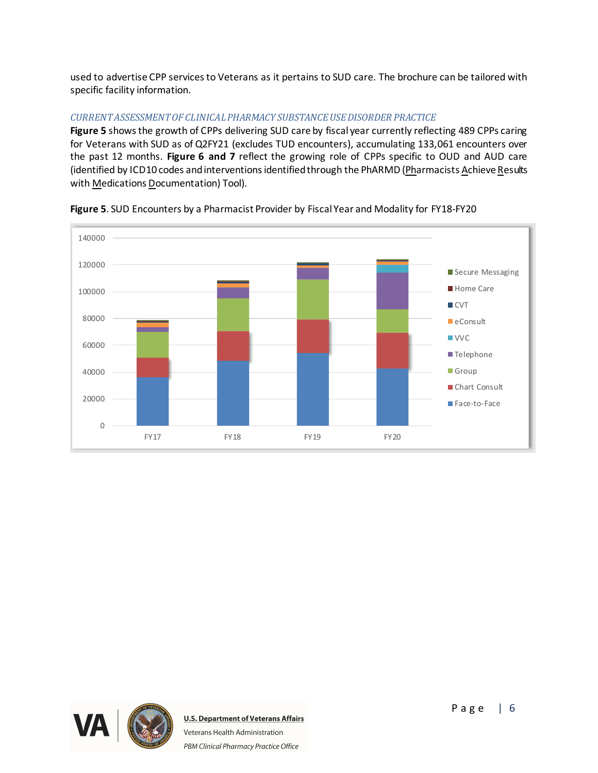used to advertise CPP services to Veterans as it pertains to SUD care. The brochure can be tailored with specific facility information.

# *CURRENT ASSESSMENT OF CLINICAL PHARMACY SUBSTANCE USE DISORDER PRACTICE*

**Figure 5** shows the growth of CPPs delivering SUD care by fiscal year currently reflecting 489 CPPs caring for Veterans with SUD as of Q2FY21 (excludes TUD encounters), accumulating 133,061 encounters over the past 12 months. **Figure 6 and 7** reflect the growing role of CPPs specific to OUD and AUD care (identified by ICD10 codes and interventions identified through the PhARMD (Pharmacists Achieve Results with Medications Documentation) Tool).



**Figure 5**. SUD Encounters by a Pharmacist Provider by Fiscal Year and Modality for FY18-FY20

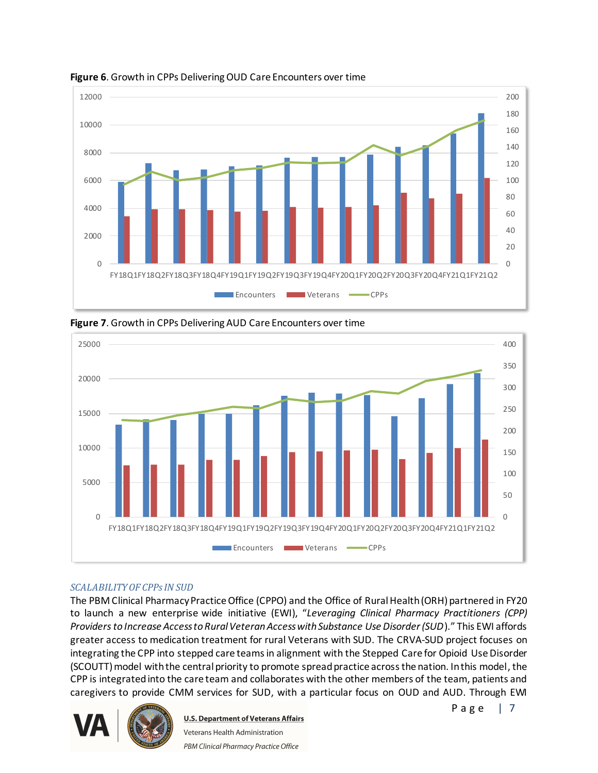

**Figure 6**. Growth in CPPs Delivering OUD Care Encounters over time



**Figure 7**. Growth in CPPs Delivering AUD Care Encounters over time

# *SCALABILITY OF CPPs IN SUD*

The PBM Clinical Pharmacy Practice Office (CPPO) and the Office of Rural Health (ORH) partnered in FY20 to launch a new enterprise wide initiative (EWI), "*Leveraging Clinical Pharmacy Practitioners (CPP) Providers to Increase Access to Rural Veteran Access with Substance Use Disorder (SUD*)." This EWI affords greater access to medication treatment for rural Veterans with SUD. The CRVA-SUD project focuses on integrating the CPP into stepped care teams in alignment with the Stepped Care for Opioid Use Disorder (SCOUTT) model with the central priority to promote spread practice across the nation. In this model, the CPP is integrated into the care team and collaborates with the other members of the team, patients and caregivers to provide CMM services for SUD, with a particular focus on OUD and AUD. Through EWI

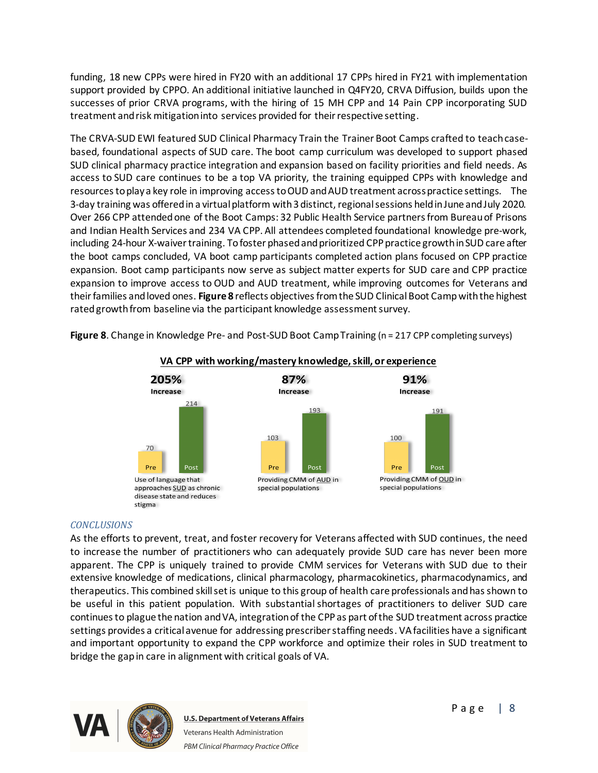funding, 18 new CPPs were hired in FY20 with an additional 17 CPPs hired in FY21 with implementation support provided by CPPO. An additional initiative launched in Q4FY20, CRVA Diffusion, builds upon the successes of prior CRVA programs, with the hiring of 15 MH CPP and 14 Pain CPP incorporating SUD treatment and risk mitigation into services provided for their respective setting.

The CRVA-SUD EWI featured SUD Clinical Pharmacy Train the Trainer Boot Camps crafted to teach casebased, foundational aspects of SUD care. The boot camp curriculum was developed to support phased SUD clinical pharmacy practice integration and expansion based on facility priorities and field needs. As access to SUD care continues to be a top VA priority, the training equipped CPPs with knowledge and resources to play a key role in improving access to OUD and AUD treatment across practice settings. The 3-day training was offered in a virtual platform with 3 distinct, regional sessions held in June and July 2020. Over 266 CPP attended one of the Boot Camps: 32 Public Health Service partners from Bureau of Prisons and Indian Health Services and 234 VA CPP. All attendees completed foundational knowledge pre-work, including 24-hour X-waiver training. To foster phased and prioritized CPP practice growth in SUD care after the boot camps concluded, VA boot camp participants completed action plans focused on CPP practice expansion. Boot camp participants now serve as subject matter experts for SUD care and CPP practice expansion to improve access to OUD and AUD treatment, while improving outcomes for Veterans and their families and loved ones. **Figure 8** reflects objectives from the SUD Clinical Boot Camp with the highest ratedgrowth from baseline via the participant knowledge assessment survey.



**Figure 8**. Change in Knowledge Pre- and Post-SUD Boot Camp Training (n = 217 CPP completing surveys)

#### *CONCLUSIONS*

As the efforts to prevent, treat, and foster recovery for Veterans affected with SUD continues, the need to increase the number of practitioners who can adequately provide SUD care has never been more apparent. The CPP is uniquely trained to provide CMM services for Veterans with SUD due to their extensive knowledge of medications, clinical pharmacology, pharmacokinetics, pharmacodynamics, and therapeutics. This combined skill set is unique to this group of health care professionals and has shown to be useful in this patient population. With substantial shortages of practitioners to deliver SUD care continues to plague the nation and VA, integration of the CPP as part of the SUD treatment across practice settings provides a critical avenue for addressing prescriber staffing needs. VA facilities have a significant and important opportunity to expand the CPP workforce and optimize their roles in SUD treatment to bridge the gap in care in alignment with critical goals of VA.